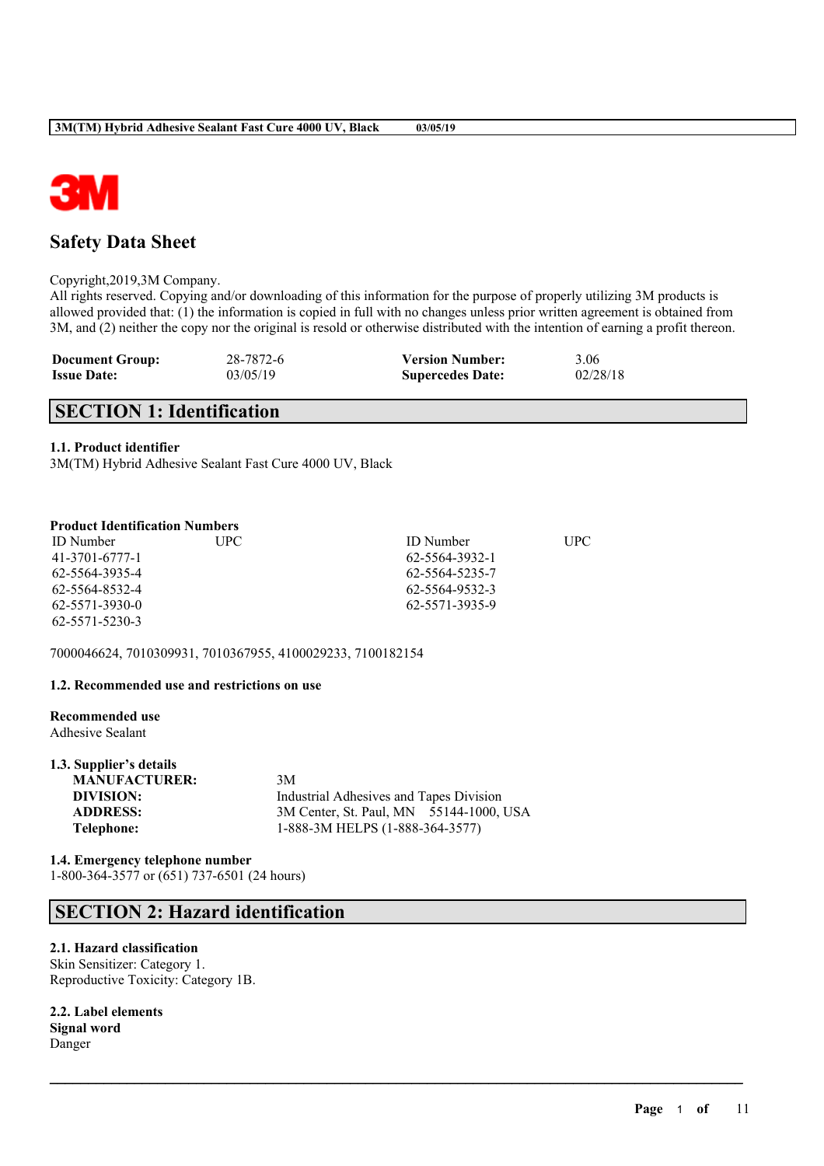

## **Safety Data Sheet**

Copyright,2019,3M Company.

All rights reserved. Copying and/or downloading of this information for the purpose of properly utilizing 3M products is allowed provided that: (1) the information is copied in full with no changes unless prior written agreement is obtained from 3M, and (2) neither the copy nor the original is resold or otherwise distributed with the intention of earning a profit thereon.

 $\mathcal{L}_\mathcal{L} = \mathcal{L}_\mathcal{L} = \mathcal{L}_\mathcal{L} = \mathcal{L}_\mathcal{L} = \mathcal{L}_\mathcal{L} = \mathcal{L}_\mathcal{L} = \mathcal{L}_\mathcal{L} = \mathcal{L}_\mathcal{L} = \mathcal{L}_\mathcal{L} = \mathcal{L}_\mathcal{L} = \mathcal{L}_\mathcal{L} = \mathcal{L}_\mathcal{L} = \mathcal{L}_\mathcal{L} = \mathcal{L}_\mathcal{L} = \mathcal{L}_\mathcal{L} = \mathcal{L}_\mathcal{L} = \mathcal{L}_\mathcal{L}$ 

| <b>Document Group:</b> | 28-7872-6 | <b>Version Number:</b>  | 3.06     |
|------------------------|-----------|-------------------------|----------|
| <b>Issue Date:</b>     | 03/05/19  | <b>Supercedes Date:</b> | 02/28/18 |

## **SECTION 1: Identification**

#### **1.1. Product identifier**

3M(TM) Hybrid Adhesive Sealant Fast Cure 4000 UV, Black

### **Product Identification Numbers**

| <b>ID</b> Number | UPC | <b>ID</b> Number | UPC |
|------------------|-----|------------------|-----|
| 41-3701-6777-1   |     | 62-5564-3932-1   |     |
| 62-5564-3935-4   |     | 62-5564-5235-7   |     |
| 62-5564-8532-4   |     | 62-5564-9532-3   |     |
| 62-5571-3930-0   |     | 62-5571-3935-9   |     |
| 62-5571-5230-3   |     |                  |     |

7000046624, 7010309931, 7010367955, 4100029233, 7100182154

#### **1.2. Recommended use and restrictions on use**

#### **Recommended use** Adhesive Sealant

| 1.3. Supplier's details |                                         |
|-------------------------|-----------------------------------------|
| <b>MANUFACTURER:</b>    | 3M                                      |
| DIVISION:               | Industrial Adhesives and Tapes Division |
| <b>ADDRESS:</b>         | 3M Center, St. Paul, MN 55144-1000, USA |
| Telephone:              | 1-888-3M HELPS (1-888-364-3577)         |

**1.4. Emergency telephone number** 1-800-364-3577 or (651) 737-6501 (24 hours)

## **SECTION 2: Hazard identification**

#### **2.1. Hazard classification**

Skin Sensitizer: Category 1. Reproductive Toxicity: Category 1B.

**2.2. Label elements Signal word** Danger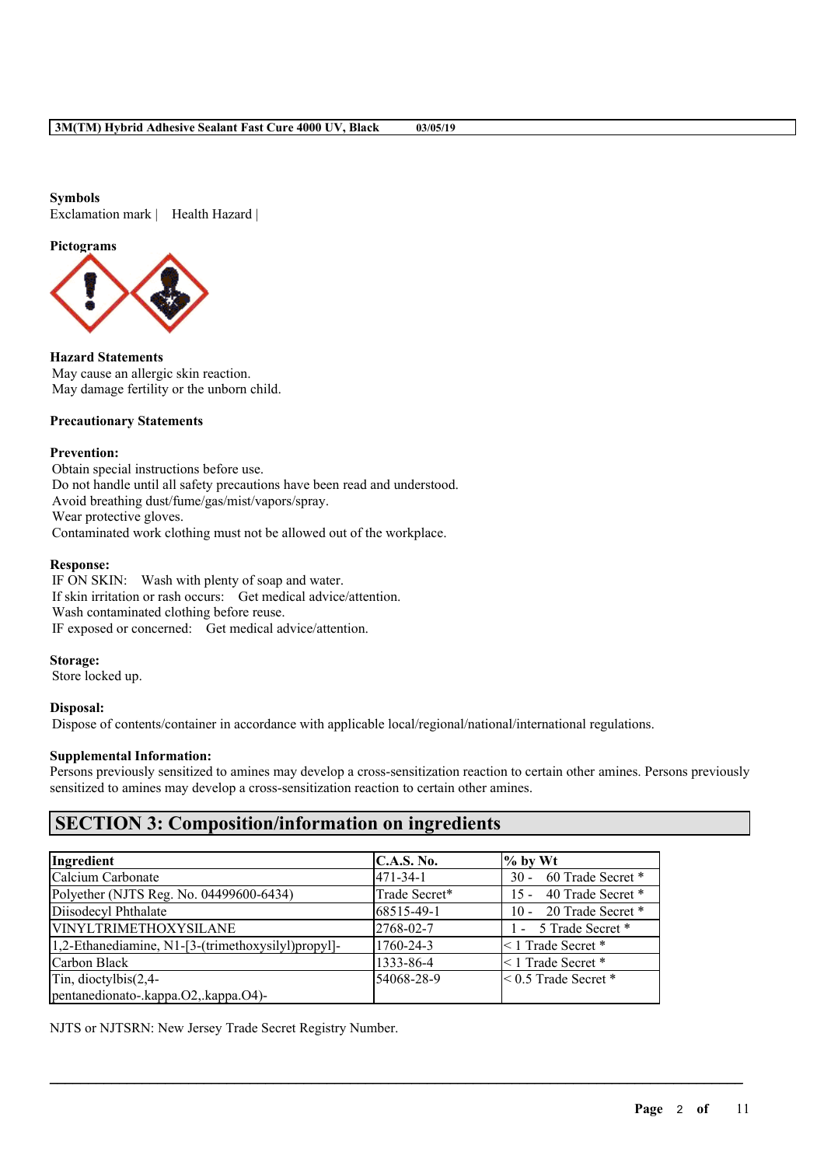#### **Symbols**

Exclamation mark | Health Hazard |

#### **Pictograms**



**Hazard Statements** May cause an allergic skin reaction. May damage fertility or the unborn child.

#### **Precautionary Statements**

#### **Prevention:**

Obtain special instructions before use. Do not handle until all safety precautions have been read and understood. Avoid breathing dust/fume/gas/mist/vapors/spray. Wear protective gloves. Contaminated work clothing must not be allowed out of the workplace.

#### **Response:**

IF ON SKIN: Wash with plenty of soap and water. If skin irritation or rash occurs: Get medical advice/attention. Wash contaminated clothing before reuse. IF exposed or concerned: Get medical advice/attention.

#### **Storage:**

Store locked up.

#### **Disposal:**

Dispose of contents/container in accordance with applicable local/regional/national/international regulations.

#### **Supplemental Information:**

Persons previously sensitized to amines may develop a cross-sensitization reaction to certain other amines. Persons previously sensitized to amines may develop a cross-sensitization reaction to certain other amines.

 $\mathcal{L}_\mathcal{L} = \mathcal{L}_\mathcal{L} = \mathcal{L}_\mathcal{L} = \mathcal{L}_\mathcal{L} = \mathcal{L}_\mathcal{L} = \mathcal{L}_\mathcal{L} = \mathcal{L}_\mathcal{L} = \mathcal{L}_\mathcal{L} = \mathcal{L}_\mathcal{L} = \mathcal{L}_\mathcal{L} = \mathcal{L}_\mathcal{L} = \mathcal{L}_\mathcal{L} = \mathcal{L}_\mathcal{L} = \mathcal{L}_\mathcal{L} = \mathcal{L}_\mathcal{L} = \mathcal{L}_\mathcal{L} = \mathcal{L}_\mathcal{L}$ 

## **SECTION 3: Composition/information on ingredients**

| Ingredient                                         | C.A.S. No.     | $%$ by Wt                   |
|----------------------------------------------------|----------------|-----------------------------|
| Calcium Carbonate                                  | $471 - 34 - 1$ | 60 Trade Secret *<br>$30 -$ |
| Polyether (NJTS Reg. No. 04499600-6434)            | Trade Secret*  | 15 - 40 Trade Secret *      |
| Diisodecyl Phthalate                               | 68515-49-1     | 10 - 20 Trade Secret *      |
| <b>VINYLTRIMETHOXYSILANE</b>                       | 2768-02-7      | 1 - 5 Trade Secret *        |
| 1,2-Ethanediamine, N1-[3-(trimethoxysilyl)propyl]- | 1760-24-3      | <1 Trade Secret *           |
| Carbon Black                                       | 1333-86-4      | $\leq$ 1 Trade Secret *     |
| Tin, dioctylbis $(2,4-$                            | 54068-28-9     | $\leq 0.5$ Trade Secret *   |
| pentanedionato-.kappa.O2,.kappa.O4)-               |                |                             |

NJTS or NJTSRN: New Jersey Trade Secret Registry Number.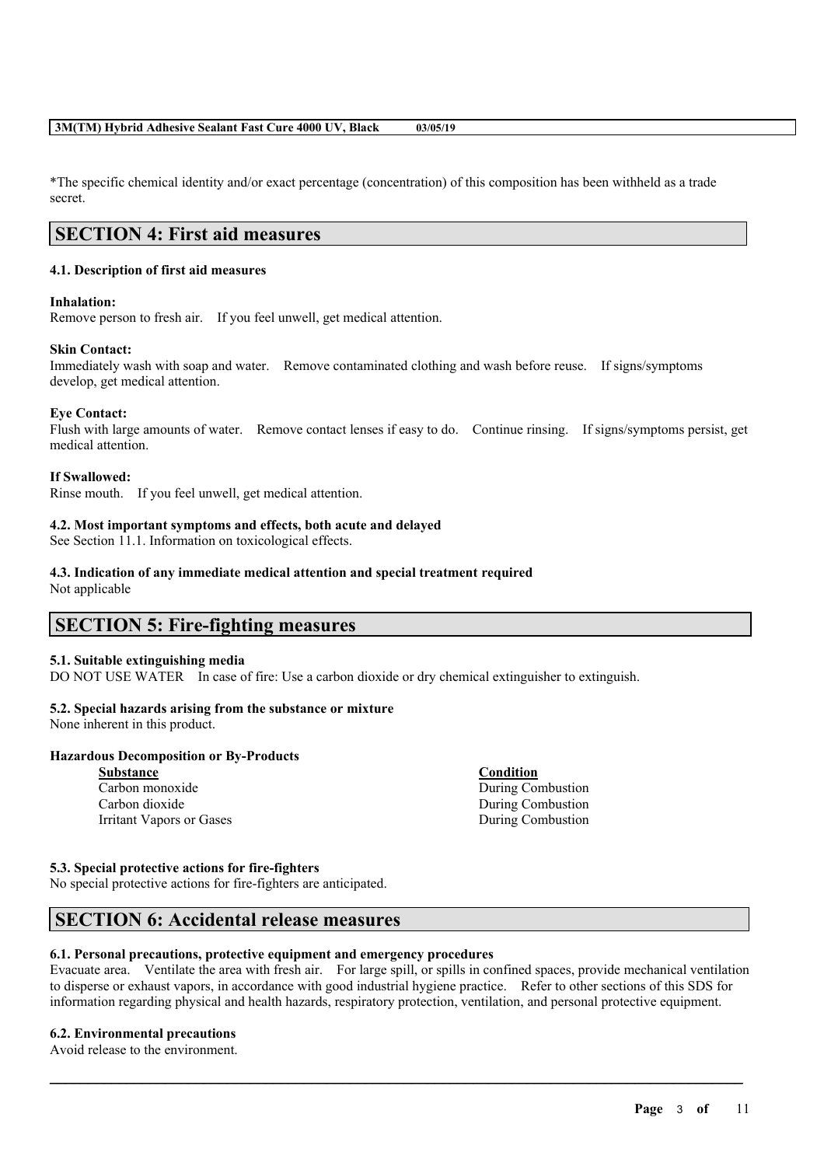\*The specific chemical identity and/or exact percentage (concentration) of this composition has been withheld as a trade secret.

## **SECTION 4: First aid measures**

#### **4.1. Description of first aid measures**

#### **Inhalation:**

Remove person to fresh air. If you feel unwell, get medical attention.

#### **Skin Contact:**

Immediately wash with soap and water. Remove contaminated clothing and wash before reuse. If signs/symptoms develop, get medical attention.

#### **Eye Contact:**

Flush with large amounts of water. Remove contact lenses if easy to do. Continue rinsing. If signs/symptoms persist, get medical attention.

#### **If Swallowed:**

Rinse mouth. If you feel unwell, get medical attention.

#### **4.2. Most important symptoms and effects, both acute and delayed**

See Section 11.1. Information on toxicological effects.

#### **4.3. Indication of any immediate medical attention and special treatment required**

Not applicable

## **SECTION 5: Fire-fighting measures**

#### **5.1. Suitable extinguishing media**

DO NOT USE WATER In case of fire: Use a carbon dioxide or dry chemical extinguisher to extinguish.

#### **5.2. Special hazards arising from the substance or mixture**

None inherent in this product.

#### **Hazardous Decomposition or By-Products**

| <b>Substance</b>         |
|--------------------------|
| Carbon monoxide          |
| Carbon dioxide           |
| Irritant Vapors or Gases |

**Substance Condition** During Combustion During Combustion During Combustion

#### **5.3. Special protective actions for fire-fighters**

No special protective actions for fire-fighters are anticipated.

## **SECTION 6: Accidental release measures**

#### **6.1. Personal precautions, protective equipment and emergency procedures**

Evacuate area. Ventilate the area with fresh air. For large spill, or spills in confined spaces, provide mechanical ventilation to disperse or exhaust vapors, in accordance with good industrial hygiene practice. Refer to other sections of this SDS for information regarding physical and health hazards, respiratory protection, ventilation, and personal protective equipment.

 $\mathcal{L}_\mathcal{L} = \mathcal{L}_\mathcal{L} = \mathcal{L}_\mathcal{L} = \mathcal{L}_\mathcal{L} = \mathcal{L}_\mathcal{L} = \mathcal{L}_\mathcal{L} = \mathcal{L}_\mathcal{L} = \mathcal{L}_\mathcal{L} = \mathcal{L}_\mathcal{L} = \mathcal{L}_\mathcal{L} = \mathcal{L}_\mathcal{L} = \mathcal{L}_\mathcal{L} = \mathcal{L}_\mathcal{L} = \mathcal{L}_\mathcal{L} = \mathcal{L}_\mathcal{L} = \mathcal{L}_\mathcal{L} = \mathcal{L}_\mathcal{L}$ 

#### **6.2. Environmental precautions**

Avoid release to the environment.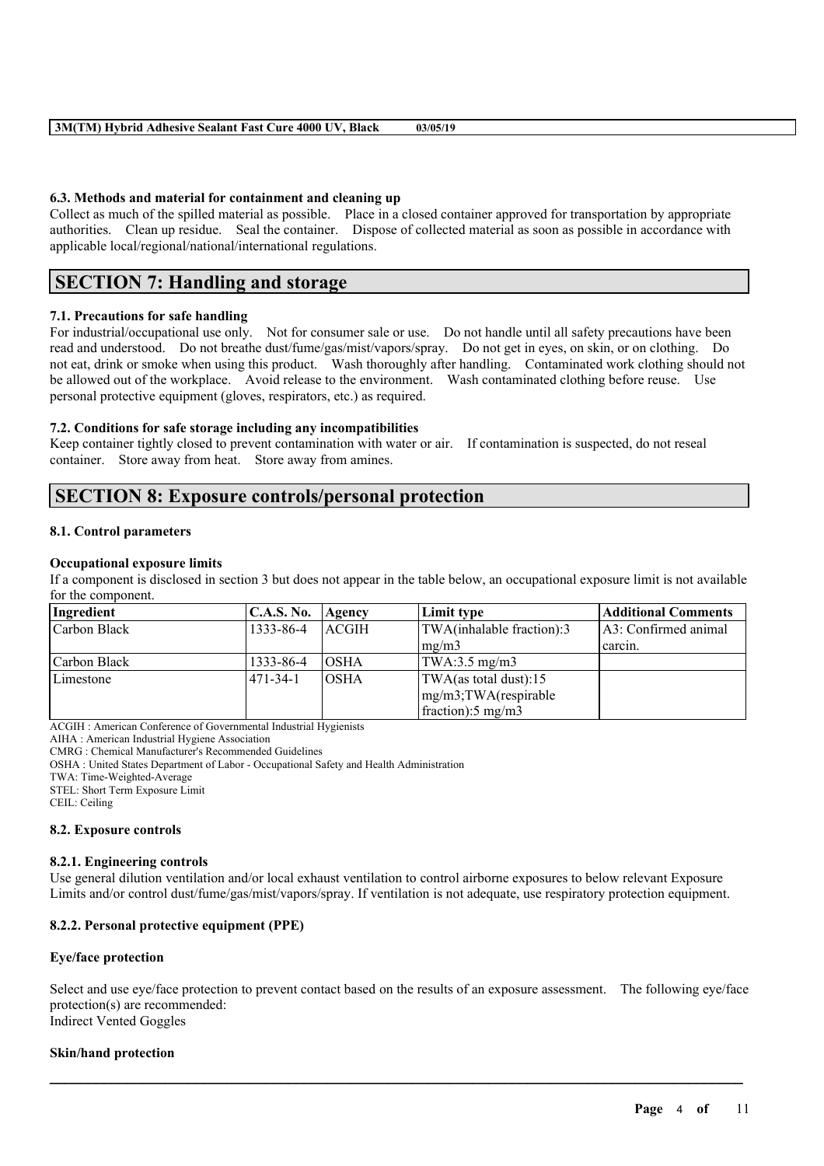#### **6.3. Methods and material for containment and cleaning up**

Collect as much of the spilled material as possible. Place in a closed container approved for transportation by appropriate authorities. Clean up residue. Seal the container. Dispose of collected material as soon as possible in accordance with applicable local/regional/national/international regulations.

## **SECTION 7: Handling and storage**

### **7.1. Precautions for safe handling**

For industrial/occupational use only. Not for consumer sale or use. Do not handle until all safety precautions have been read and understood. Do not breathe dust/fume/gas/mist/vapors/spray. Do not get in eyes, on skin, or on clothing. Do not eat, drink or smoke when using this product. Wash thoroughly after handling. Contaminated work clothing should not be allowed out of the workplace. Avoid release to the environment. Wash contaminated clothing before reuse. Use personal protective equipment (gloves, respirators, etc.) as required.

#### **7.2. Conditions for safe storage including any incompatibilities**

Keep container tightly closed to prevent contamination with water or air. If contamination is suspected, do not reseal container. Store away from heat. Store away from amines.

## **SECTION 8: Exposure controls/personal protection**

#### **8.1. Control parameters**

#### **Occupational exposure limits**

If a component is disclosed in section 3 but does not appear in the table below, an occupational exposure limit is not available for the component.

| Ingredient   | <b>C.A.S. No.</b> | Agency      | Limit type                      | <b>Additional Comments</b> |
|--------------|-------------------|-------------|---------------------------------|----------------------------|
| Carbon Black | 1333-86-4         | ACGIH       | TWA(inhalable fraction):3       | 1A3: Confirmed animal      |
|              |                   |             | mg/m3                           | carcin.                    |
| Carbon Black | 1333-86-4         | IOSHA       | $\text{TWA}:3.5 \text{ mg/m3}$  |                            |
| Limestone    | 1471-34-1         | <b>OSHA</b> | TWA(as total dust):15           |                            |
|              |                   |             | $mg/m3$ ; TWA(respirable        |                            |
|              |                   |             | $frac{1}{2}$ fraction): 5 mg/m3 |                            |

ACGIH : American Conference of Governmental Industrial Hygienists

AIHA : American Industrial Hygiene Association

CMRG : Chemical Manufacturer's Recommended Guidelines

OSHA : United States Department of Labor - Occupational Safety and Health Administration

TWA: Time-Weighted-Average

STEL: Short Term Exposure Limit

CEIL: Ceiling

#### **8.2. Exposure controls**

#### **8.2.1. Engineering controls**

Use general dilution ventilation and/or local exhaust ventilation to control airborne exposures to below relevant Exposure Limits and/or control dust/fume/gas/mist/vapors/spray. If ventilation is not adequate, use respiratory protection equipment.

#### **8.2.2. Personal protective equipment (PPE)**

#### **Eye/face protection**

Select and use eye/face protection to prevent contact based on the results of an exposure assessment. The following eye/face protection(s) are recommended: Indirect Vented Goggles

 $\mathcal{L}_\mathcal{L} = \mathcal{L}_\mathcal{L} = \mathcal{L}_\mathcal{L} = \mathcal{L}_\mathcal{L} = \mathcal{L}_\mathcal{L} = \mathcal{L}_\mathcal{L} = \mathcal{L}_\mathcal{L} = \mathcal{L}_\mathcal{L} = \mathcal{L}_\mathcal{L} = \mathcal{L}_\mathcal{L} = \mathcal{L}_\mathcal{L} = \mathcal{L}_\mathcal{L} = \mathcal{L}_\mathcal{L} = \mathcal{L}_\mathcal{L} = \mathcal{L}_\mathcal{L} = \mathcal{L}_\mathcal{L} = \mathcal{L}_\mathcal{L}$ 

#### **Skin/hand protection**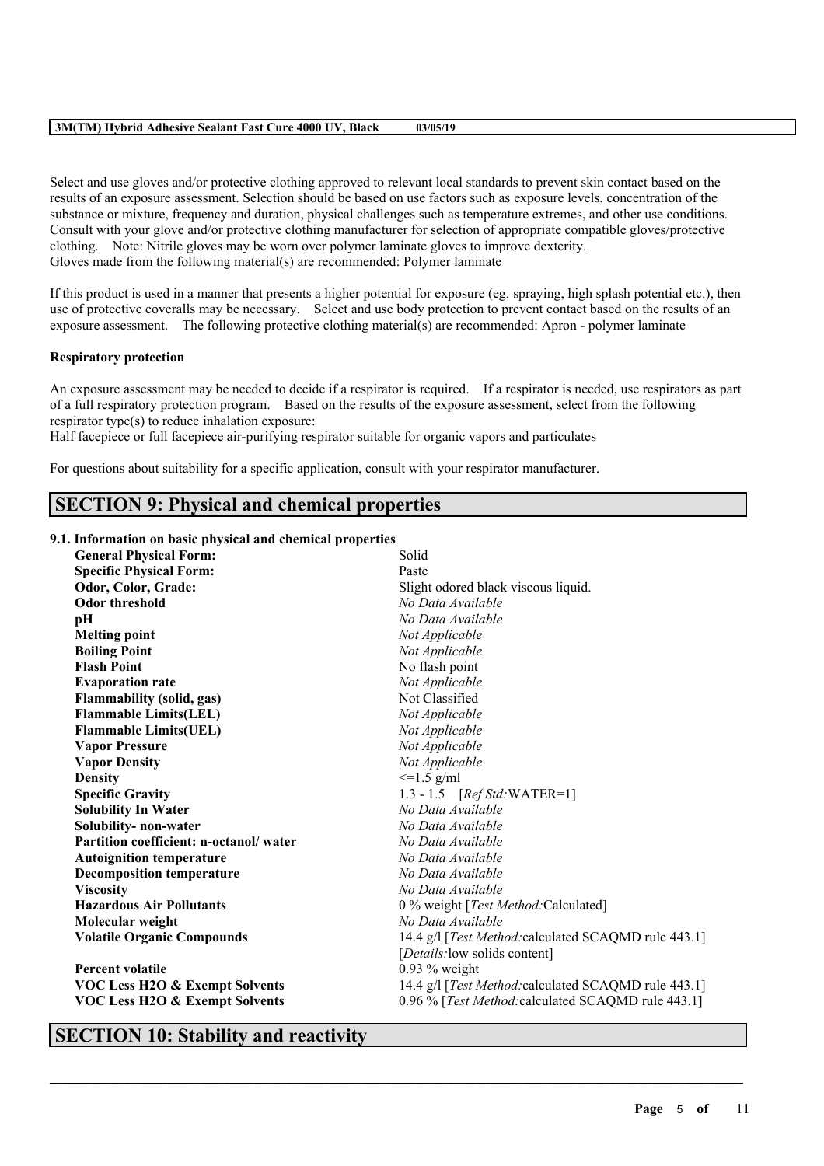Select and use gloves and/or protective clothing approved to relevant local standards to prevent skin contact based on the results of an exposure assessment. Selection should be based on use factors such as exposure levels, concentration of the substance or mixture, frequency and duration, physical challenges such as temperature extremes, and other use conditions. Consult with your glove and/or protective clothing manufacturer for selection of appropriate compatible gloves/protective clothing. Note: Nitrile gloves may be worn over polymer laminate gloves to improve dexterity. Gloves made from the following material(s) are recommended: Polymer laminate

If this product is used in a manner that presents a higher potential for exposure (eg. spraying, high splash potential etc.), then use of protective coveralls may be necessary. Select and use body protection to prevent contact based on the results of an exposure assessment. The following protective clothing material(s) are recommended: Apron - polymer laminate

#### **Respiratory protection**

An exposure assessment may be needed to decide if a respirator is required. If a respirator is needed, use respirators as part of a full respiratory protection program. Based on the results of the exposure assessment, select from the following respirator type(s) to reduce inhalation exposure:

Half facepiece or full facepiece air-purifying respirator suitable for organic vapors and particulates

For questions about suitability for a specific application, consult with your respirator manufacturer.

## **SECTION 9: Physical and chemical properties**

#### **9.1. Information on basic physical and chemical properties**

| <b>General Physical Form:</b>             | Solid                                                |  |  |
|-------------------------------------------|------------------------------------------------------|--|--|
| <b>Specific Physical Form:</b>            | Paste                                                |  |  |
| Odor, Color, Grade:                       | Slight odored black viscous liquid.                  |  |  |
| <b>Odor threshold</b>                     | No Data Available                                    |  |  |
| рH                                        | No Data Available                                    |  |  |
| <b>Melting point</b>                      | Not Applicable                                       |  |  |
| <b>Boiling Point</b>                      | Not Applicable                                       |  |  |
| <b>Flash Point</b>                        | No flash point                                       |  |  |
| <b>Evaporation rate</b>                   | Not Applicable                                       |  |  |
| <b>Flammability (solid, gas)</b>          | Not Classified                                       |  |  |
| <b>Flammable Limits(LEL)</b>              | Not Applicable                                       |  |  |
| <b>Flammable Limits(UEL)</b>              | Not Applicable                                       |  |  |
| <b>Vapor Pressure</b>                     | Not Applicable                                       |  |  |
| <b>Vapor Density</b>                      | Not Applicable                                       |  |  |
| <b>Density</b>                            | $\leq$ 1.5 g/ml                                      |  |  |
| <b>Specific Gravity</b>                   | 1.3 - 1.5 $[RefStd:WATER=1]$                         |  |  |
| <b>Solubility In Water</b>                | No Data Available                                    |  |  |
| Solubility- non-water                     | No Data Available                                    |  |  |
| Partition coefficient: n-octanol/water    | No Data Available                                    |  |  |
| <b>Autoignition temperature</b>           | No Data Available                                    |  |  |
| <b>Decomposition temperature</b>          | No Data Available                                    |  |  |
| <b>Viscosity</b>                          | No Data Available                                    |  |  |
| <b>Hazardous Air Pollutants</b>           | 0 % weight [Test Method: Calculated]                 |  |  |
| Molecular weight                          | No Data Available                                    |  |  |
| <b>Volatile Organic Compounds</b>         | 14.4 g/l [Test Method: calculated SCAQMD rule 443.1] |  |  |
|                                           | [Details: low solids content]                        |  |  |
| <b>Percent volatile</b>                   | $0.93\%$ weight                                      |  |  |
| <b>VOC Less H2O &amp; Exempt Solvents</b> | 14.4 g/l [Test Method: calculated SCAQMD rule 443.1] |  |  |
| <b>VOC Less H2O &amp; Exempt Solvents</b> | 0.96 % [Test Method: calculated SCAQMD rule 443.1]   |  |  |
|                                           |                                                      |  |  |

 $\mathcal{L}_\mathcal{L} = \mathcal{L}_\mathcal{L} = \mathcal{L}_\mathcal{L} = \mathcal{L}_\mathcal{L} = \mathcal{L}_\mathcal{L} = \mathcal{L}_\mathcal{L} = \mathcal{L}_\mathcal{L} = \mathcal{L}_\mathcal{L} = \mathcal{L}_\mathcal{L} = \mathcal{L}_\mathcal{L} = \mathcal{L}_\mathcal{L} = \mathcal{L}_\mathcal{L} = \mathcal{L}_\mathcal{L} = \mathcal{L}_\mathcal{L} = \mathcal{L}_\mathcal{L} = \mathcal{L}_\mathcal{L} = \mathcal{L}_\mathcal{L}$ 

## **SECTION 10: Stability and reactivity**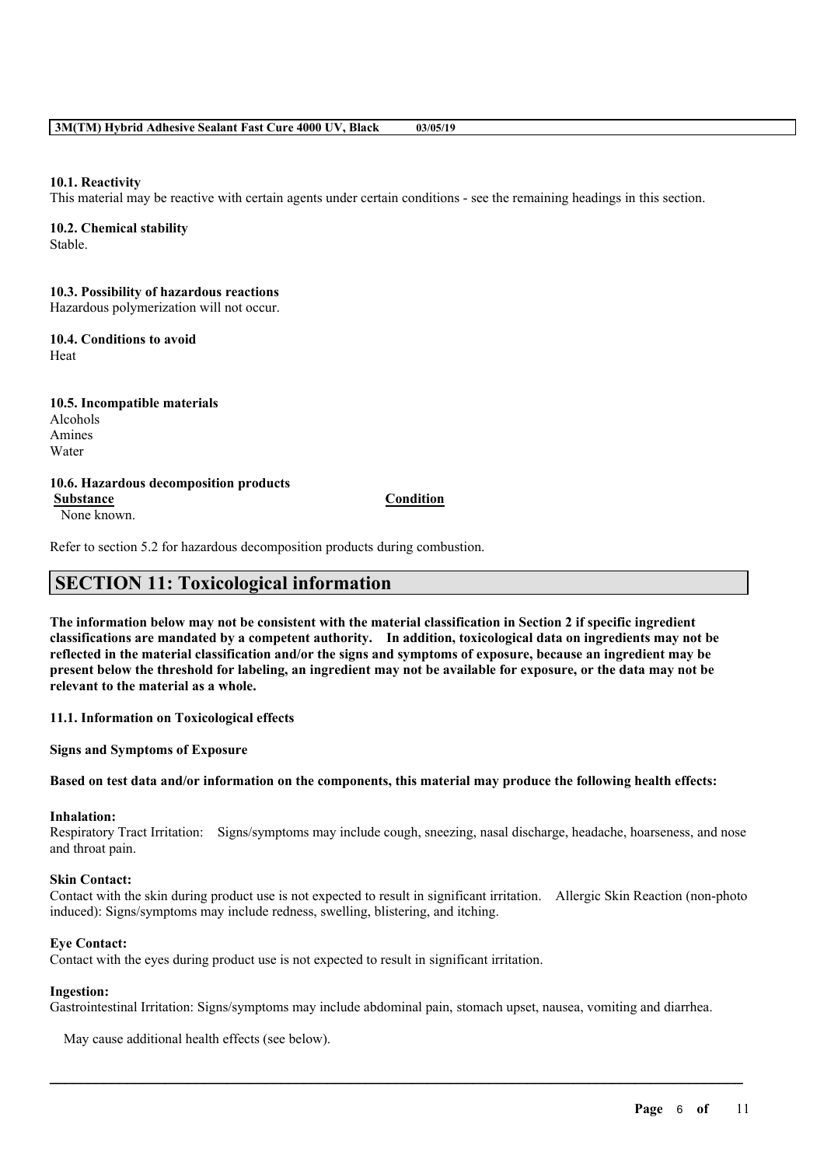#### **10.1. Reactivity**

This material may be reactive with certain agents under certain conditions - see the remaining headings in this section.

#### **10.2. Chemical stability**

Stable.

## **10.3. Possibility of hazardous reactions**

Hazardous polymerization will not occur.

### **10.4. Conditions to avoid**

Heat

#### **10.5. Incompatible materials** Alcohols Amines

# Water

#### **10.6. Hazardous decomposition products Substance Condition**

None known.

Refer to section 5.2 for hazardous decomposition products during combustion.

## **SECTION 11: Toxicological information**

The information below may not be consistent with the material classification in Section 2 if specific ingredient **classifications are mandated by a competent authority. In addition, toxicological data on ingredients may not be** reflected in the material classification and/or the signs and symptoms of exposure, because an ingredient may be present below the threshold for labeling, an ingredient may not be available for exposure, or the data may not be **relevant to the material as a whole.**

**11.1. Information on Toxicological effects**

**Signs and Symptoms of Exposure**

#### Based on test data and/or information on the components, this material may produce the following health effects:

## **Inhalation:**

Respiratory Tract Irritation: Signs/symptoms may include cough, sneezing, nasal discharge, headache, hoarseness, and nose and throat pain.

#### **Skin Contact:**

Contact with the skin during product use is not expected to result in significant irritation. Allergic Skin Reaction (non-photo induced): Signs/symptoms may include redness, swelling, blistering, and itching.

#### **Eye Contact:**

Contact with the eyes during product use is not expected to result in significant irritation.

#### **Ingestion:**

Gastrointestinal Irritation: Signs/symptoms may include abdominal pain, stomach upset, nausea, vomiting and diarrhea.

 $\mathcal{L}_\mathcal{L} = \mathcal{L}_\mathcal{L} = \mathcal{L}_\mathcal{L} = \mathcal{L}_\mathcal{L} = \mathcal{L}_\mathcal{L} = \mathcal{L}_\mathcal{L} = \mathcal{L}_\mathcal{L} = \mathcal{L}_\mathcal{L} = \mathcal{L}_\mathcal{L} = \mathcal{L}_\mathcal{L} = \mathcal{L}_\mathcal{L} = \mathcal{L}_\mathcal{L} = \mathcal{L}_\mathcal{L} = \mathcal{L}_\mathcal{L} = \mathcal{L}_\mathcal{L} = \mathcal{L}_\mathcal{L} = \mathcal{L}_\mathcal{L}$ 

May cause additional health effects (see below).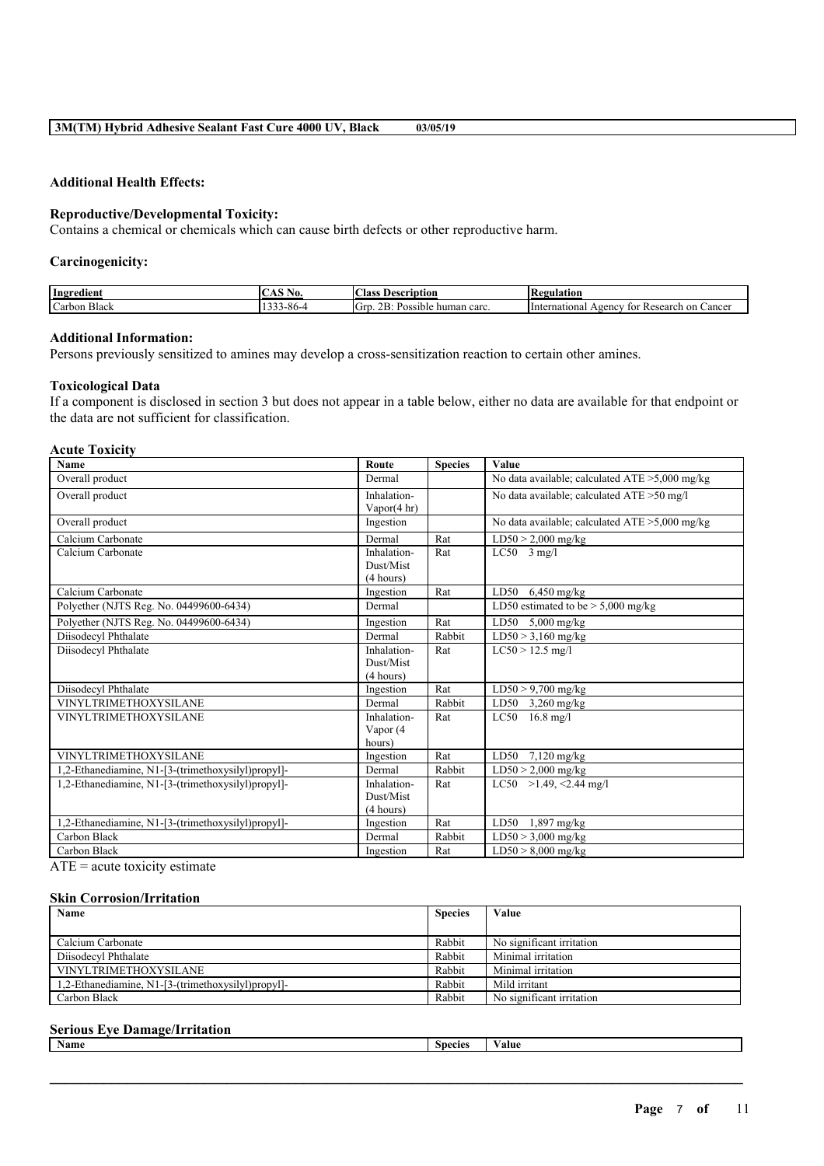#### **Additional Health Effects:**

#### **Reproductive/Developmental Toxicity:**

Contains a chemical or chemicals which can cause birth defects or other reproductive harm.

#### **Carcinogenicity:**

| Ingredient                    | ---<br>$\sim$<br>180. I<br>$\sim$ | $\sim$<br>Aass<br>®eription<br>Desc                      | <b>kegulation</b><br>ıмe                                                |
|-------------------------------|-----------------------------------|----------------------------------------------------------|-------------------------------------------------------------------------|
| $\sim$<br>Black<br>∴ar<br>bon | $\Omega$<br>3-86-4                | $\sim$<br>OR.<br>.GPT<br>human carc.<br>Possible.<br>نلك | Cancer<br>International<br>on<br>esearch<br>eency<br>TOI<br><b>Kest</b> |

#### **Additional Information:**

Persons previously sensitized to amines may develop a cross-sensitization reaction to certain other amines.

#### **Toxicological Data**

If a component is disclosed in section 3 but does not appear in a table below, either no data are available for that endpoint or the data are not sufficient for classification.

#### **Acute Toxicity**

| Name                                               | Route                  | <b>Species</b> | Value                                             |
|----------------------------------------------------|------------------------|----------------|---------------------------------------------------|
| Overall product                                    | Dermal                 |                | No data available; calculated $ATE > 5,000$ mg/kg |
| Overall product                                    | Inhalation-            |                | No data available; calculated ATE >50 mg/l        |
|                                                    | Vapor $(4 \text{ hr})$ |                |                                                   |
| Overall product                                    | Ingestion              |                | No data available; calculated $ATE > 5,000$ mg/kg |
| Calcium Carbonate                                  | Dermal                 | Rat            | $\overline{\text{LD}}$ 50 > 2,000 mg/kg           |
| Calcium Carbonate                                  | Inhalation-            | Rat            | $LC50$ 3 mg/l                                     |
|                                                    | Dust/Mist              |                |                                                   |
|                                                    | (4 hours)              |                |                                                   |
| Calcium Carbonate                                  | Ingestion              | Rat            | LD50<br>$6,450$ mg/kg                             |
| Polyether (NJTS Reg. No. 04499600-6434)            | Dermal                 |                | LD50 estimated to be $> 5,000$ mg/kg              |
| Polyether (NJTS Reg. No. 04499600-6434)            | Ingestion              | Rat            | LD50 $5,000$ mg/kg                                |
| Diisodecyl Phthalate                               | Dermal                 | Rabbit         | $LD50 > 3,160$ mg/kg                              |
| Diisodecyl Phthalate                               | Inhalation-            | Rat            | $LC50 > 12.5$ mg/l                                |
|                                                    | Dust/Mist              |                |                                                   |
|                                                    | (4 hours)              |                |                                                   |
| Diisodecyl Phthalate                               | Ingestion              | Rat            | $LD50 > 9,700$ mg/kg                              |
| <b>VINYLTRIMETHOXYSILANE</b>                       | Dermal                 | Rabbit         | LD50 $3,260$ mg/kg                                |
| <b>VINYLTRIMETHOXYSILANE</b>                       | Inhalation-            | Rat            | $16.8$ mg/l<br>LC50                               |
|                                                    | Vapor (4               |                |                                                   |
|                                                    | hours)                 |                |                                                   |
| <b>VINYLTRIMETHOXYSILANE</b>                       | Ingestion              | Rat            | LD50 7,120 mg/kg                                  |
| 1,2-Ethanediamine, N1-[3-(trimethoxysilyl)propyl]- | Dermal                 | Rabbit         | $LD50 > 2,000$ mg/kg                              |
| 1,2-Ethanediamine, N1-[3-(trimethoxysilyl)propyl]- | Inhalation-            | Rat            | LC50 >1.49, <2.44 mg/l                            |
|                                                    | Dust/Mist              |                |                                                   |
|                                                    | (4 hours)              |                |                                                   |
| 1,2-Ethanediamine, N1-[3-(trimethoxysilyl)propyl]- | Ingestion              | Rat            | LD50<br>$1,897$ mg/kg                             |
| Carbon Black                                       | Dermal                 | Rabbit         | $LD50 > 3,000$ mg/kg                              |
| Carbon Black                                       | Ingestion              | Rat            | $LD50 > 8,000$ mg/kg                              |

 $ATE = acute$  toxicity estimate

#### **Skin Corrosion/Irritation**

| Name                                               | <b>Species</b> | Value                     |
|----------------------------------------------------|----------------|---------------------------|
|                                                    |                |                           |
| Calcium Carbonate                                  | Rabbit         | No significant irritation |
| Diisodecyl Phthalate                               | Rabbit         | Minimal irritation        |
| <b>VINYLTRIMETHOXYSILANE</b>                       | Rabbit         | Minimal irritation        |
| 1.2-Ethanediamine, N1-[3-(trimethoxysilyl)propyl]- | Rabbit         | Mild irritant             |
| Carbon Black                                       | Rabbit         | No significant irritation |

#### **Serious Eye Damage/Irritation**

| Name | species | 'alue |
|------|---------|-------|
|      |         |       |

 $\mathcal{L}_\mathcal{L} = \mathcal{L}_\mathcal{L} = \mathcal{L}_\mathcal{L} = \mathcal{L}_\mathcal{L} = \mathcal{L}_\mathcal{L} = \mathcal{L}_\mathcal{L} = \mathcal{L}_\mathcal{L} = \mathcal{L}_\mathcal{L} = \mathcal{L}_\mathcal{L} = \mathcal{L}_\mathcal{L} = \mathcal{L}_\mathcal{L} = \mathcal{L}_\mathcal{L} = \mathcal{L}_\mathcal{L} = \mathcal{L}_\mathcal{L} = \mathcal{L}_\mathcal{L} = \mathcal{L}_\mathcal{L} = \mathcal{L}_\mathcal{L}$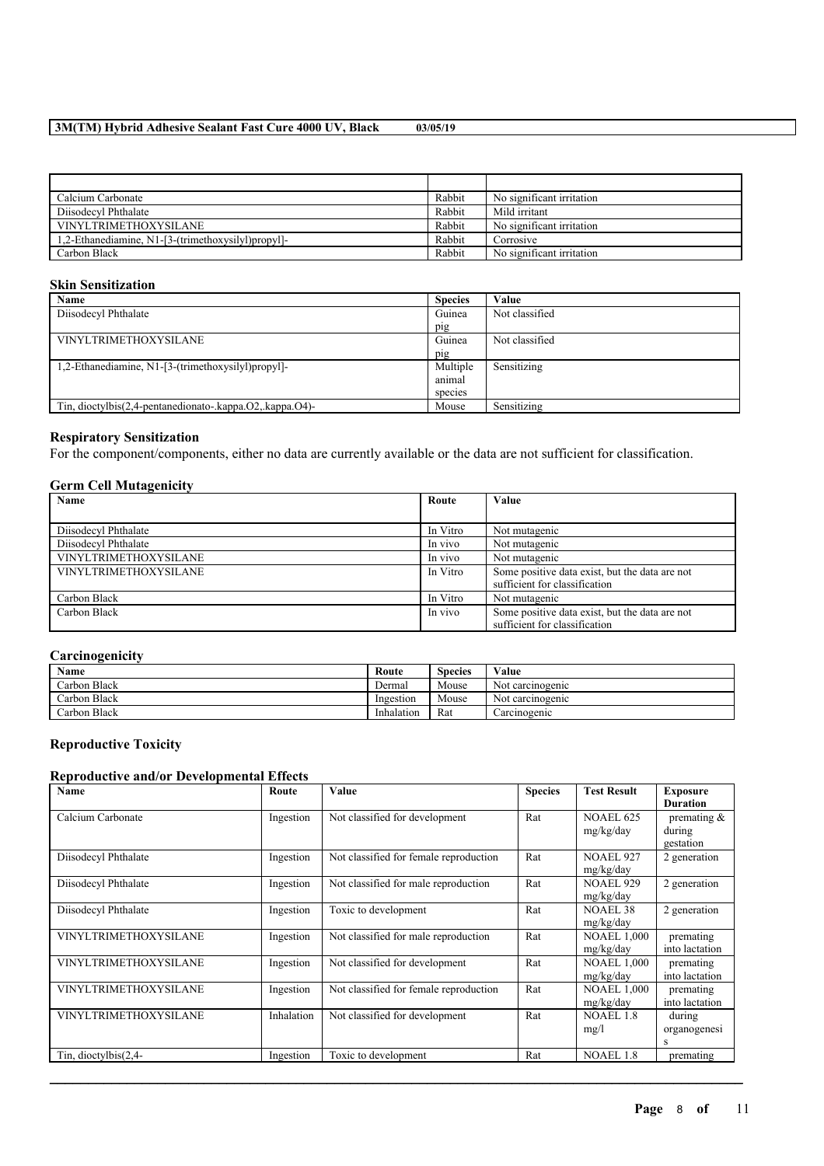| Calcium Carbonate                                  | Rabbit | No significant irritation |
|----------------------------------------------------|--------|---------------------------|
| Diisodecyl Phthalate                               | Rabbit | Mild irritant             |
| <b>VINYLTRIMETHOXYSILANE</b>                       | Rabbit | No significant irritation |
| 1,2-Ethanediamine, N1-[3-(trimethoxysilyl)propyl]- | Rabbit | Corrosive                 |
| Carbon Black                                       | Rabbit | No significant irritation |

#### **Skin Sensitization**

| Name                                                     | <b>Species</b> | Value          |
|----------------------------------------------------------|----------------|----------------|
| Diisodecyl Phthalate                                     | Guinea         | Not classified |
|                                                          | pig            |                |
| <b>VINYLTRIMETHOXYSILANE</b>                             | Guinea         | Not classified |
|                                                          | pig            |                |
| 1,2-Ethanediamine, N1-[3-(trimethoxysilyl)propyl]-       | Multiple       | Sensitizing    |
|                                                          | animal         |                |
|                                                          | species        |                |
| Tin, dioctylbis(2,4-pentanedionato-.kappa.O2,.kappa.O4)- | Mouse          | Sensitizing    |

#### **Respiratory Sensitization**

For the component/components, either no data are currently available or the data are not sufficient for classification.

#### **Germ Cell Mutagenicity**

| Name                         | Route    | Value                                          |
|------------------------------|----------|------------------------------------------------|
|                              |          |                                                |
| Diisodecyl Phthalate         | In Vitro | Not mutagenic                                  |
| Diisodecyl Phthalate         | In vivo  | Not mutagenic                                  |
| VINYLTRIMETHOXYSILANE        | In vivo  | Not mutagenic                                  |
| <b>VINYLTRIMETHOXYSILANE</b> | In Vitro | Some positive data exist, but the data are not |
|                              |          | sufficient for classification                  |
| Carbon Black                 | In Vitro | Not mutagenic                                  |
| Carbon Black                 | In vivo  | Some positive data exist, but the data are not |
|                              |          | sufficient for classification                  |

#### **Carcinogenicity**

| Name         | Route      | Species | Value            |
|--------------|------------|---------|------------------|
| Carbon Black | Dermal     | Mouse   | Not carcinogenic |
| Carbon Black | Ingestion  | Mouse   | Not carcinogenic |
| Carbon Black | Inhalation | Rat     | Carcinogenic     |

## **Reproductive Toxicity**

#### **Reproductive and/or Developmental Effects**

| Name                         | Route      | Value                                  | <b>Species</b> | <b>Test Result</b> | <b>Exposure</b> |
|------------------------------|------------|----------------------------------------|----------------|--------------------|-----------------|
|                              |            |                                        |                |                    | <b>Duration</b> |
| Calcium Carbonate            | Ingestion  | Not classified for development         | Rat            | <b>NOAEL 625</b>   | premating $\&$  |
|                              |            |                                        |                | mg/kg/day          | during          |
|                              |            |                                        |                |                    | gestation       |
| Diisodecyl Phthalate         | Ingestion  | Not classified for female reproduction | Rat            | <b>NOAEL 927</b>   | 2 generation    |
|                              |            |                                        |                | mg/kg/day          |                 |
| Diisodecyl Phthalate         | Ingestion  | Not classified for male reproduction   | Rat            | <b>NOAEL 929</b>   | 2 generation    |
|                              |            |                                        |                | mg/kg/day          |                 |
| Diisodecyl Phthalate         | Ingestion  | Toxic to development                   | Rat            | <b>NOAEL 38</b>    | 2 generation    |
|                              |            |                                        |                | mg/kg/day          |                 |
| VINYLTRIMETHOXYSILANE        | Ingestion  | Not classified for male reproduction   | Rat            | <b>NOAEL 1,000</b> | premating       |
|                              |            |                                        |                | mg/kg/day          | into lactation  |
| VINYLTRIMETHOXYSILANE        | Ingestion  | Not classified for development         | Rat            | <b>NOAEL 1,000</b> | premating       |
|                              |            |                                        |                | mg/kg/day          | into lactation  |
| VINYLTRIMETHOXYSILANE        | Ingestion  | Not classified for female reproduction | Rat            | <b>NOAEL 1,000</b> | premating       |
|                              |            |                                        |                | mg/kg/day          | into lactation  |
| <b>VINYLTRIMETHOXYSILANE</b> | Inhalation | Not classified for development         | Rat            | <b>NOAEL 1.8</b>   | during          |
|                              |            |                                        |                | mg/l               | organogenesi    |
|                              |            |                                        |                |                    | S               |
| Tin, dioctylbis $(2,4-$      | Ingestion  | Toxic to development                   | Rat            | <b>NOAEL 1.8</b>   | premating       |

 $\mathcal{L}_\mathcal{L} = \mathcal{L}_\mathcal{L} = \mathcal{L}_\mathcal{L} = \mathcal{L}_\mathcal{L} = \mathcal{L}_\mathcal{L} = \mathcal{L}_\mathcal{L} = \mathcal{L}_\mathcal{L} = \mathcal{L}_\mathcal{L} = \mathcal{L}_\mathcal{L} = \mathcal{L}_\mathcal{L} = \mathcal{L}_\mathcal{L} = \mathcal{L}_\mathcal{L} = \mathcal{L}_\mathcal{L} = \mathcal{L}_\mathcal{L} = \mathcal{L}_\mathcal{L} = \mathcal{L}_\mathcal{L} = \mathcal{L}_\mathcal{L}$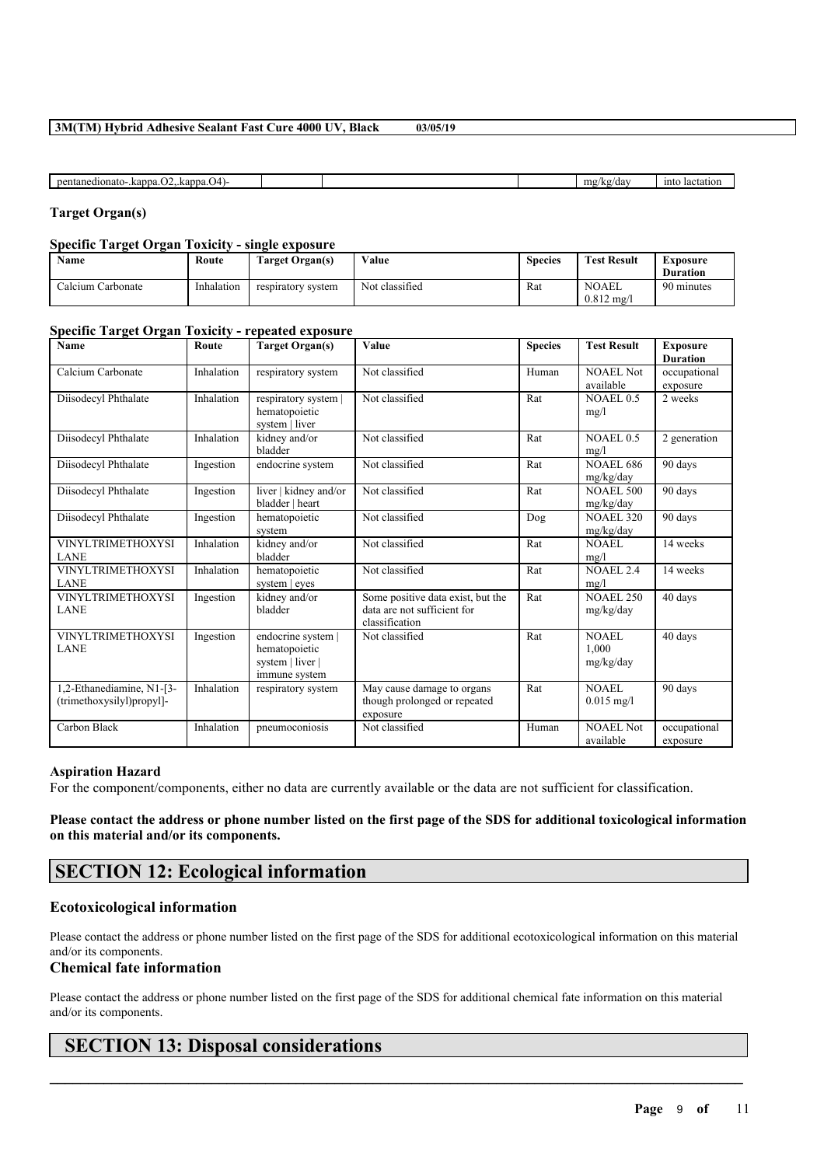| ıΔ<br>uonato- 'n<br>ranna<br>.onton<br>.na<br>,,,,,<br>,,,,, |  | $'$ do<br>ma<br>ua | 1nte<br>lacta<br>ior |
|--------------------------------------------------------------|--|--------------------|----------------------|

#### **Target Organ(s)**

#### **Specific Target Organ Toxicity - single exposure**

| Name              | Route      | <b>Farget Organ(s)</b> | Value          | <b>Species</b> | <b>Test Result</b>                    | Exposure<br><b>Duration</b> |
|-------------------|------------|------------------------|----------------|----------------|---------------------------------------|-----------------------------|
| Calcium Carbonate | Inhalation | respiratory system     | Not classified | Rat            | <b>NOAEL</b><br>$0.812 \text{ m}$ g/l | 90 minutes                  |

#### **Specific Target Organ Toxicity - repeated exposure**

| Name                                                   | Route      | <b>Target Organ(s)</b>                                                 | Value                                                                              | <b>Species</b> | <b>Test Result</b>                 | <b>Exposure</b><br><b>Duration</b> |
|--------------------------------------------------------|------------|------------------------------------------------------------------------|------------------------------------------------------------------------------------|----------------|------------------------------------|------------------------------------|
| Calcium Carbonate                                      | Inhalation | respiratory system                                                     | Not classified                                                                     | Human          | NOAEL Not<br>available             | occupational<br>exposure           |
| Diisodecyl Phthalate                                   | Inhalation | respiratory system  <br>hematopoietic<br>system   liver                | Not classified                                                                     | Rat            | NOAEL 0.5<br>mg/l                  | 2 weeks                            |
| Diisodecyl Phthalate                                   | Inhalation | kidney and/or<br>bladder                                               | Not classified                                                                     | Rat            | NOAEL 0.5<br>mg/l                  | 2 generation                       |
| Diisodecyl Phthalate                                   | Ingestion  | endocrine system                                                       | Not classified                                                                     | Rat            | <b>NOAEL 686</b><br>mg/kg/day      | 90 days                            |
| Diisodecyl Phthalate                                   | Ingestion  | liver   kidney and/or<br>bladder   heart                               | Not classified                                                                     | Rat            | <b>NOAEL 500</b><br>mg/kg/day      | 90 days                            |
| Diisodecyl Phthalate                                   | Ingestion  | hematopoietic<br>system                                                | Not classified                                                                     | Dog            | <b>NOAEL 320</b><br>mg/kg/day      | 90 days                            |
| <b>VINYLTRIMETHOXYSI</b><br><b>LANE</b>                | Inhalation | kidney and/or<br>bladder                                               | Not classified                                                                     | Rat            | NOAEL<br>mg/l                      | 14 weeks                           |
| <b>VINYLTRIMETHOXYSI</b><br><b>LANE</b>                | Inhalation | hematopoietic<br>system   eyes                                         | Not classified                                                                     | Rat            | <b>NOAEL 2.4</b><br>mg/l           | 14 weeks                           |
| <b>VINYLTRIMETHOXYSI</b><br><b>LANE</b>                | Ingestion  | kidney and/or<br>bladder                                               | Some positive data exist, but the<br>data are not sufficient for<br>classification | Rat            | <b>NOAEL 250</b><br>mg/kg/day      | 40 days                            |
| <b>VINYLTRIMETHOXYSI</b><br><b>LANE</b>                | Ingestion  | endocrine system<br>hematopoietic<br>system   liver  <br>immune system | Not classified                                                                     | Rat            | <b>NOAEL</b><br>1.000<br>mg/kg/day | 40 days                            |
| 1,2-Ethanediamine, N1-[3-<br>(trimethoxysilyl)propyl]- | Inhalation | respiratory system                                                     | May cause damage to organs<br>though prolonged or repeated<br>exposure             | Rat            | <b>NOAEL</b><br>$0.015$ mg/l       | 90 days                            |
| Carbon Black                                           | Inhalation | pneumoconiosis                                                         | Not classified                                                                     | Human          | <b>NOAEL Not</b><br>available      | occupational<br>exposure           |

#### **Aspiration Hazard**

For the component/components, either no data are currently available or the data are not sufficient for classification.

#### Please contact the address or phone number listed on the first page of the SDS for additional toxicological information **on this material and/or its components.**

## **SECTION 12: Ecological information**

#### **Ecotoxicological information**

Please contact the address or phone number listed on the first page of the SDS for additional ecotoxicological information on this material and/or its components.

#### **Chemical fate information**

Please contact the address or phone number listed on the first page of the SDS for additional chemical fate information on this material and/or its components.

 $\mathcal{L}_\mathcal{L} = \mathcal{L}_\mathcal{L} = \mathcal{L}_\mathcal{L} = \mathcal{L}_\mathcal{L} = \mathcal{L}_\mathcal{L} = \mathcal{L}_\mathcal{L} = \mathcal{L}_\mathcal{L} = \mathcal{L}_\mathcal{L} = \mathcal{L}_\mathcal{L} = \mathcal{L}_\mathcal{L} = \mathcal{L}_\mathcal{L} = \mathcal{L}_\mathcal{L} = \mathcal{L}_\mathcal{L} = \mathcal{L}_\mathcal{L} = \mathcal{L}_\mathcal{L} = \mathcal{L}_\mathcal{L} = \mathcal{L}_\mathcal{L}$ 

## **SECTION 13: Disposal considerations**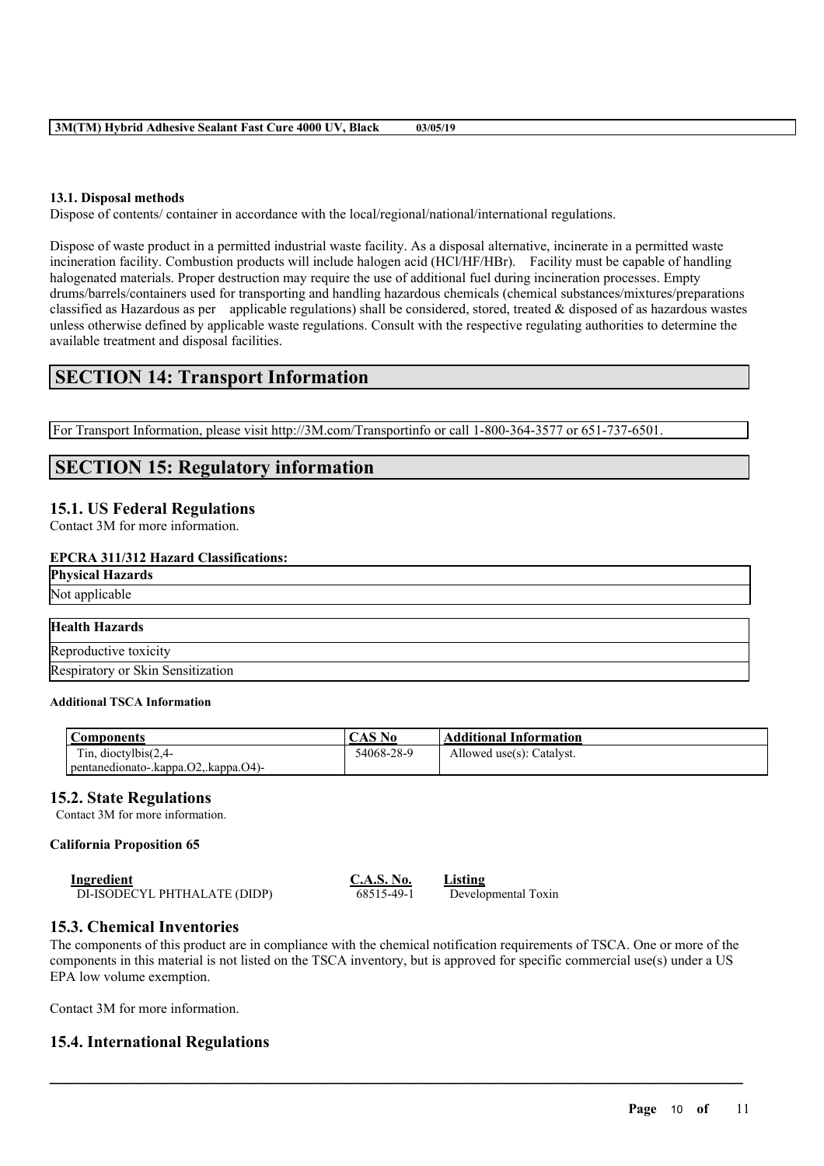#### **13.1. Disposal methods**

Dispose of contents/ container in accordance with the local/regional/national/international regulations.

Dispose of waste product in a permitted industrial waste facility. As a disposal alternative, incinerate in a permitted waste incineration facility. Combustion products will include halogen acid (HCl/HF/HBr). Facility must be capable of handling halogenated materials. Proper destruction may require the use of additional fuel during incineration processes. Empty drums/barrels/containers used for transporting and handling hazardous chemicals (chemical substances/mixtures/preparations classified as Hazardous as per applicable regulations) shall be considered, stored, treated  $\&$  disposed of as hazardous wastes unless otherwise defined by applicable waste regulations. Consult with the respective regulating authorities to determine the available treatment and disposal facilities.

## **SECTION 14: Transport Information**

For Transport Information, please visit http://3M.com/Transportinfo or call 1-800-364-3577 or 651-737-6501.

## **SECTION 15: Regulatory information**

#### **15.1. US Federal Regulations**

Contact 3M for more information.

#### **EPCRA 311/312 Hazard Classifications:**

**Physical Hazards**

Not applicable

## **Health Hazards**

Reproductive toxicity Respiratory or Skin Sensitization

#### **Additional TSCA Information**

| Components                                   | CAS No     | <b>Additional Information</b> |
|----------------------------------------------|------------|-------------------------------|
| Tin, dioctylbis $(2,4-$                      | 54068-28-9 | Allowed use(s): Catalyst.     |
| pentanedionato-.kappa. $O2$ ,.kappa. $O4$ )- |            |                               |

### **15.2. State Regulations**

Contact 3M for more information.

#### **California Proposition 65**

| <b>Ingredient</b>            | <b>C.A.S. No.</b> | <b>Listing</b>      |
|------------------------------|-------------------|---------------------|
| DI-ISODECYL PHTHALATE (DIDP) | 68515-49-1        | Developmental Toxin |

#### **15.3. Chemical Inventories**

The components of this product are in compliance with the chemical notification requirements of TSCA. One or more of the components in this material is not listed on the TSCA inventory, but is approved for specific commercial use(s) under a US EPA low volume exemption.

 $\mathcal{L}_\mathcal{L} = \mathcal{L}_\mathcal{L} = \mathcal{L}_\mathcal{L} = \mathcal{L}_\mathcal{L} = \mathcal{L}_\mathcal{L} = \mathcal{L}_\mathcal{L} = \mathcal{L}_\mathcal{L} = \mathcal{L}_\mathcal{L} = \mathcal{L}_\mathcal{L} = \mathcal{L}_\mathcal{L} = \mathcal{L}_\mathcal{L} = \mathcal{L}_\mathcal{L} = \mathcal{L}_\mathcal{L} = \mathcal{L}_\mathcal{L} = \mathcal{L}_\mathcal{L} = \mathcal{L}_\mathcal{L} = \mathcal{L}_\mathcal{L}$ 

Contact 3M for more information.

### **15.4. International Regulations**